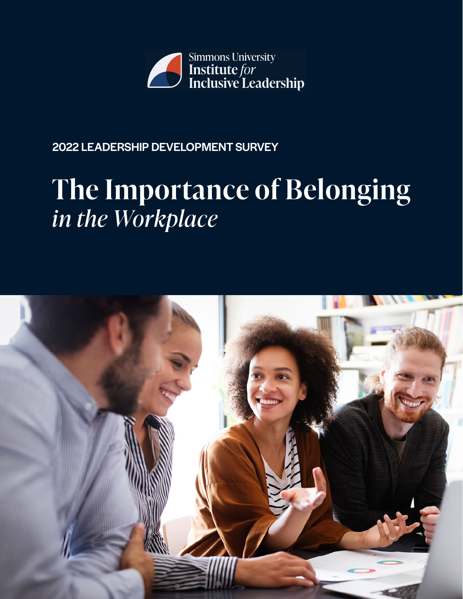

# 2022 LEADERSHIP DEVELOPMENT SURVEY

# **The Importance of Belonging**  *in the Workplace*

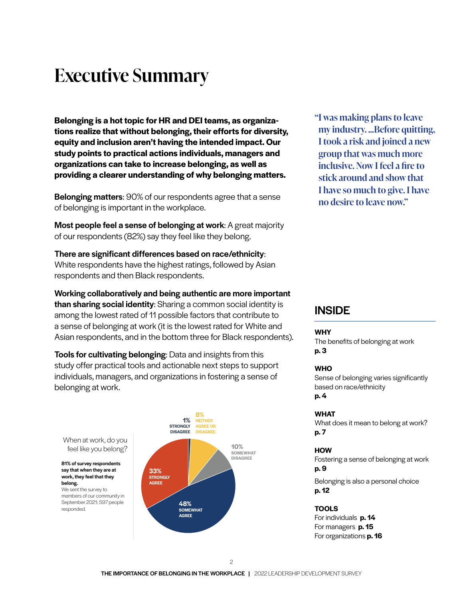# **Executive Summary**

**Belonging is a hot topic for HR and DEI teams, as organizations realize that without belonging, their efforts for diversity, equity and inclusion aren't having the intended impact. Our study points to practical actions individuals, managers and organizations can take to increase belonging, as well as providing a clearer understanding of why belonging matters.**

**Belonging matters:** 90% of our respondents agree that a sense of belonging is important in the workplace.

Most people feel a sense of belonging at work: A great majority of our respondents (82%) say they feel like they belong.

There are significant differences based on race/ethnicity: White respondents have the highest ratings, followed by Asian respondents and then Black respondents.

Working collaboratively and being authentic are more important than sharing social identity: Sharing a common social identity is among the lowest rated of 11 possible factors that contribute to a sense of belonging at work (it is the lowest rated for White and Asian respondents, and in the bottom three for Black respondents).

**Tools for cultivating belonging:** Data and insights from this study offer practical tools and actionable next steps to support individuals, managers, and organizations in fostering a sense of belonging at work.

say that when they are at work, they feel that they

We sent the survey to

belong.

responded.



**"I was making plans to leave my industry. ...Before quitting, I took a risk and joined a new group that was much more inclusive. Now I feel a fire to stick around and show that I have so much to give. I have no desire to leave now."**

### **INSIDE**

#### **WHY**

The benefits of belonging at work **p. 3**

#### **WHO**

Sense of belonging varies significantly based on race/ethnicity **p. 4**

#### **WHAT**

What does it mean to belong at work? **p. 7**

#### **HOW**

Fostering a sense of belonging at work **p. 9** Belonging is also a personal choice **p. 12**

#### **TOOLS**

For individuals **p. 14** For managers **p. 15** For organizations **p. 16**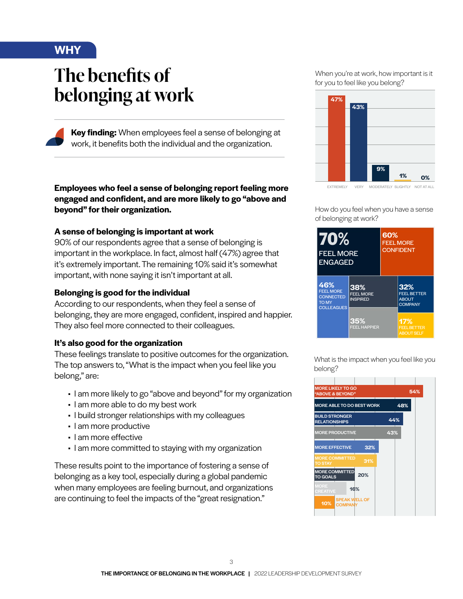## **WHY**

# **The benefits of belonging at work**

**Key finding:** When employees feel a sense of belonging at work, it benefits both the individual and the organization.

**Employees who feel a sense of belonging report feeling more engaged and confident, and are more likely to go "above and beyond" for their organization.** 

#### **A sense of belonging is important at work**

90% of our respondents agree that a sense of belonging is important in the workplace. In fact, almost half (47%) agree that it's extremely important. The remaining 10% said it's somewhat important, with none saying it isn't important at all.

#### **Belonging is good for the individual**

According to our respondents, when they feel a sense of belonging, they are more engaged, confident, inspired and happier. They also feel more connected to their colleagues.

#### **It's also good for the organization**

These feelings translate to positive outcomes for the organization. The top answers to, "What is the impact when you feel like you belong," are:

- I am more likely to go "above and beyond" for my organization
- I am more able to do my best work
- I build stronger relationships with my colleagues
- I am more productive
- I am more effective
- I am more committed to staying with my organization

These results point to the importance of fostering a sense of belonging as a key tool, especially during a global pandemic when many employees are feeling burnout, and organizations are continuing to feel the impacts of the "great resignation."

When you're at work, how important is it for you to feel like you belong?



EXTREMELY VERY MODERATELY SLIGHTLY NOT AT ALL

How do you feel when you have a sense of belonging at work?



What is the impact when you feel like you belong?

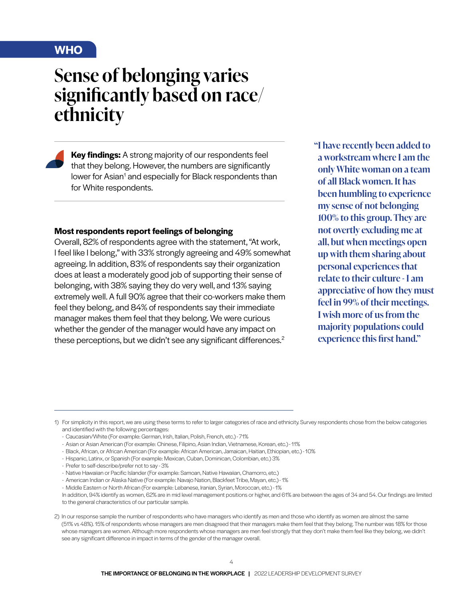### **WHO**

# **Sense of belonging varies significantly based on race/ ethnicity**

**Key findings:** A strong majority of our respondents feel that they belong. However, the numbers are significantly lower for Asian<sup>1</sup> and especially for Black respondents than for White respondents.

#### **Most respondents report feelings of belonging**

Overall, 82% of respondents agree with the statement, "At work, I feel like I belong," with 33% strongly agreeing and 49% somewhat agreeing. In addition, 83% of respondents say their organization does at least a moderately good job of supporting their sense of belonging, with 38% saying they do very well, and 13% saying extremely well. A full 90% agree that their co-workers make them feel they belong, and 84% of respondents say their immediate manager makes them feel that they belong. We were curious whether the gender of the manager would have any impact on these perceptions, but we didn't see any significant differences.<sup>2</sup>

**"I have recently been added to a workstream where I am the only White woman on a team of all Black women. It has been humbling to experience my sense of not belonging 100% to this group. They are not overtly excluding me at all, but when meetings open up with them sharing about personal experiences that relate to their culture - I am appreciative of how they must feel in 99% of their meetings. I wish more of us from the majority populations could experience this first hand."**

- Hispanic, Latinx, or Spanish (For example: Mexican, Cuban, Dominican, Colombian, etc.) 3%
- Prefer to self-describe/prefer not to say 3%
- Native Hawaiian or Pacific Islander (For example: Samoan, Native Hawaiian, Chamorro, etc.)
- American Indian or Alaska Native (For example: Navajo Nation, Blackfeet Tribe, Mayan, etc.) 1%
- Middle Eastern or North African (For example: Lebanese, Iranian, Syrian, Moroccan, etc.) 1%

<sup>1)</sup> For simplicity in this report, we are using these terms to refer to larger categories of race and ethnicity. Survey respondents chose from the below categories and identified with the following percentages:

<sup>-</sup> Caucasian/White (For example: German, Irish, Italian, Polish, French, etc.) - 71%

<sup>-</sup> Asian or Asian American (For example: Chinese, Filipino, Asian Indian, Vietnamese, Korean, etc.) - 11%

<sup>-</sup> Black, African, or African American (For example: African American, Jamaican, Haitian, Ethiopian, etc.) - 10%

In addition, 94% identify as women, 62% are in mid level management positions or higher, and 61% are between the ages of 34 and 54. Our findings are limited to the general characteristics of our particular sample.

<sup>2)</sup> In our response sample the number of respondents who have managers who identify as men and those who identify as women are almost the same (51% vs 48%). 15% of respondents whose managers are men disagreed that their managers make them feel that they belong. The number was 18% for those whose managers are women. Although more respondents whose managers are men feel strongly that they don't make them feel like they belong, we didn't see any significant difference in impact in terms of the gender of the manager overall.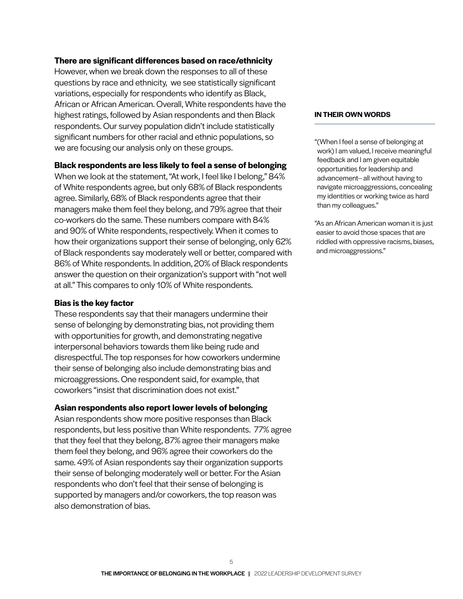#### **There are significant differences based on race/ethnicity**

However, when we break down the responses to all of these questions by race and ethnicity, we see statistically significant variations, especially for respondents who identify as Black, African or African American. Overall, White respondents have the highest ratings, followed by Asian respondents and then Black respondents. Our survey population didn't include statistically significant numbers for other racial and ethnic populations, so we are focusing our analysis only on these groups.

#### **Black respondents are less likely to feel a sense of belonging**

When we look at the statement, "At work, I feel like I belong," 84% of White respondents agree, but only 68% of Black respondents agree. Similarly, 68% of Black respondents agree that their managers make them feel they belong, and 79% agree that their co-workers do the same. These numbers compare with 84% and 90% of White respondents, respectively. When it comes to how their organizations support their sense of belonging, only 62% of Black respondents say moderately well or better, compared with 86% of White respondents. In addition, 20% of Black respondents answer the question on their organization's support with "not well at all." This compares to only 10% of White respondents.

#### **Bias is the key factor**

These respondents say that their managers undermine their sense of belonging by demonstrating bias, not providing them with opportunities for growth, and demonstrating negative interpersonal behaviors towards them like being rude and disrespectful. The top responses for how coworkers undermine their sense of belonging also include demonstrating bias and microaggressions. One respondent said, for example, that coworkers "insist that discrimination does not exist."

#### **Asian respondents also report lower levels of belonging**

Asian respondents show more positive responses than Black respondents, but less positive than White respondents. 77% agree that they feel that they belong, 87% agree their managers make them feel they belong, and 96% agree their coworkers do the same. 49% of Asian respondents say their organization supports their sense of belonging moderately well or better. For the Asian respondents who don't feel that their sense of belonging is supported by managers and/or coworkers, the top reason was also demonstration of bias.

#### **IN THEIR OWN WORDS**

"(When I feel a sense of belonging at work) I am valued, I receive meaningful feedback and I am given equitable opportunities for leadership and advancement-- all without having to navigate microaggressions, concealing my identities or working twice as hard than my colleagues."

"As an African American woman it is just easier to avoid those spaces that are riddled with oppressive racisms, biases, and microaggressions."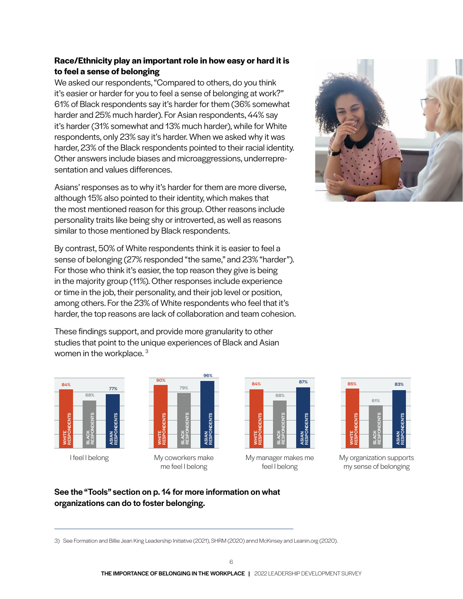### **Race/Ethnicity play an important role in how easy or hard it is to feel a sense of belonging**

We asked our respondents, "Compared to others, do you think it's easier or harder for you to feel a sense of belonging at work?" 61% of Black respondents say it's harder for them (36% somewhat harder and 25% much harder). For Asian respondents, 44% say it's harder (31% somewhat and 13% much harder), while for White respondents, only 23% say it's harder. When we asked why it was harder, 23% of the Black respondents pointed to their racial identity. Other answers include biases and microaggressions, underrepresentation and values differences.

Asians' responses as to why it's harder for them are more diverse, although 15% also pointed to their identity, which makes that the most mentioned reason for this group. Other reasons include personality traits like being shy or introverted, as well as reasons similar to those mentioned by Black respondents.

By contrast, 50% of White respondents think it is easier to feel a sense of belonging (27% responded "the same," and 23% "harder"). For those who think it's easier, the top reason they give is being in the majority group (11%). Other responses include experience or time in the job, their personality, and their job level or position, among others. For the 23% of White respondents who feel that it's harder, the top reasons are lack of collaboration and team cohesion.

These findings support, and provide more granularity to other studies that point to the unique experiences of Black and Asian women in the workplace.<sup>3</sup>







My manager makes me feel I belong



My organization supports my sense of belonging

### See the "Tools" section on p. 14 for more information on what organizations can do to foster belonging.

3) See Formation and Billie Jean King Leadership Initiative (2021), SHRM (2020) annd McKinsey and Leanin.org (2020).

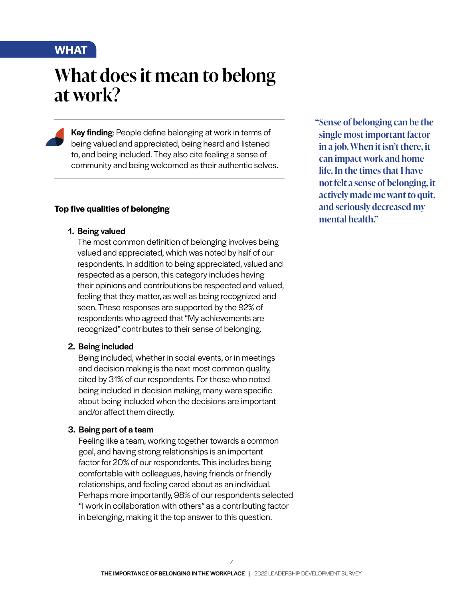## **WHAT**

# **What does it mean to belong at work?**

Key finding: People define belonging at work in terms of being valued and appreciated, being heard and listened to, and being included. They also cite feeling a sense of community and being welcomed as their authentic selves.

#### **Top five qualities of belonging**

#### 1. Being valued

The most common definition of belonging involves being valued and appreciated, which was noted by half of our respondents. In addition to being appreciated, valued and respected as a person, this category includes having their opinions and contributions be respected and valued, feeling that they matter, as well as being recognized and seen. These responses are supported by the 92% of respondents who agreed that "My achievements are recognized" contributes to their sense of belonging.

#### 2. Being included

Being included, whether in social events, or in meetings and decision making is the next most common quality, cited by 31% of our respondents. For those who noted being included in decision making, many were specific about being included when the decisions are important and/or affect them directly.

### 3. Being part of a team

Feeling like a team, working together towards a common goal, and having strong relationships is an important factor for 20% of our respondents. This includes being comfortable with colleagues, having friends or friendly relationships, and feeling cared about as an individual. Perhaps more importantly, 98% of our respondents selected "I work in collaboration with others" as a contributing factor in belonging, making it the top answer to this question.

**"Sense of belonging can be the single most important factor in a job. When it isn't there, it can impact work and home life. In the times that I have not felt a sense of belonging, it actively made me want to quit, and seriously decreased my mental health."**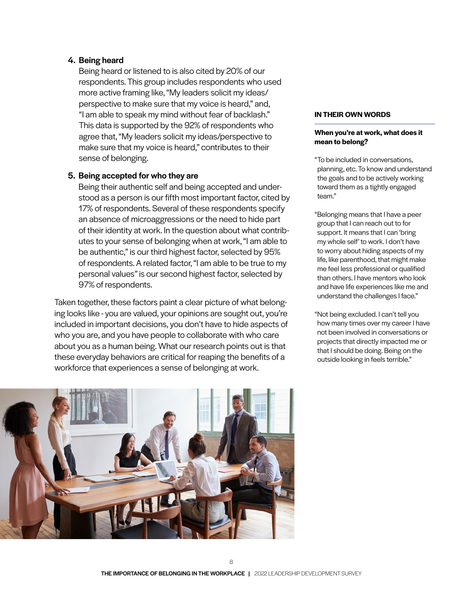#### 4. Being heard

Being heard or listened to is also cited by 20% of our respondents. This group includes respondents who used more active framing like, "My leaders solicit my ideas/ perspective to make sure that my voice is heard," and, "I am able to speak my mind without fear of backlash." This data is supported by the 92% of respondents who agree that, "My leaders solicit my ideas/perspective to make sure that my voice is heard," contributes to their sense of belonging.

#### 5. Being accepted for who they are

Being their authentic self and being accepted and understood as a person is our fifth most important factor, cited by 17% of respondents. Several of these respondents specify an absence of microaggressions or the need to hide part of their identity at work. In the question about what contributes to your sense of belonging when at work, "I am able to be authentic," is our third highest factor, selected by 95% of respondents. A related factor, "I am able to be true to my personal values" is our second highest factor, selected by 97% of respondents.

Taken together, these factors paint a clear picture of what belonging looks like - you are valued, your opinions are sought out, you're included in important decisions, you don't have to hide aspects of who you are, and you have people to collaborate with who care about you as a human being. What our research points out is that these everyday behaviors are critical for reaping the benefits of a workforce that experiences a sense of belonging at work.



#### **IN THEIR OWN WORDS**

#### **When you're at work, what does it mean to belong?**

- "To be included in conversations, planning, etc. To know and understand the goals and to be actively working toward them as a tightly engaged team."
- "Belonging means that I have a peer group that I can reach out to for support. It means that I can 'bring my whole self' to work. I don't have to worry about hiding aspects of my life, like parenthood, that might make me feel less professional or qualified than others. I have mentors who look and have life experiences like me and understand the challenges I face."
- "Not being excluded. I can't tell you how many times over my career I have not been involved in conversations or projects that directly impacted me or that I should be doing. Being on the outside looking in feels terrible."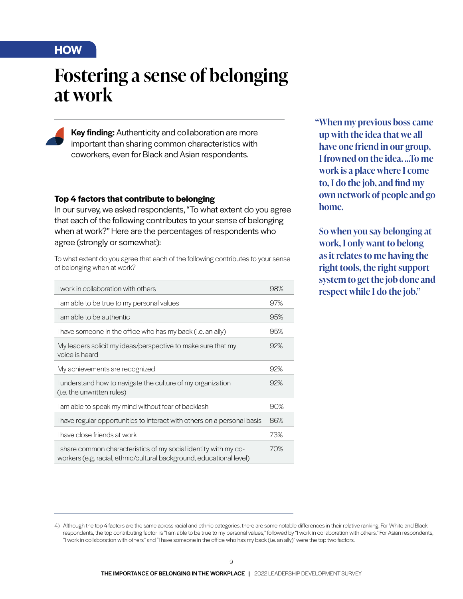## **HOW**

# **Fostering a sense of belonging at work**

Key finding: Authenticity and collaboration are more important than sharing common characteristics with coworkers, even for Black and Asian respondents.

#### **Top 4 factors that contribute to belonging**

In our survey, we asked respondents, "To what extent do you agree that each of the following contributes to your sense of belonging when at work?" Here are the percentages of respondents who agree (strongly or somewhat):

To what extent do you agree that each of the following contributes to your sense of belonging when at work?

| I work in collaboration with others                                                                                                      | 98% |
|------------------------------------------------------------------------------------------------------------------------------------------|-----|
| I am able to be true to my personal values                                                                                               | 97% |
| I am able to be authentic                                                                                                                | 95% |
| I have someone in the office who has my back (i.e. an ally)                                                                              | 95% |
| My leaders solicit my ideas/perspective to make sure that my<br>voice is heard                                                           | 92% |
| My achievements are recognized                                                                                                           | 92% |
| I understand how to navigate the culture of my organization<br>(i.e. the unwritten rules)                                                | 92% |
| I am able to speak my mind without fear of backlash                                                                                      | 90% |
| I have regular opportunities to interact with others on a personal basis                                                                 | 86% |
| I have close friends at work                                                                                                             | 73% |
| I share common characteristics of my social identity with my co-<br>workers (e.g. racial, ethnic/cultural background, educational level) | 70% |

**"When my previous boss came up with the idea that we all have one friend in our group, I frowned on the idea. ...To me work is a place where I come to, I do the job, and find my own network of people and go home.** 

**So when you say belonging at work, I only want to belong as it relates to me having the right tools, the right support system to get the job done and respect while I do the job."**

<sup>4)</sup> Although the top 4 factors are the same across racial and ethnic categories, there are some notable differences in their relative ranking. For White and Black respondents, the top contributing factor is "I am able to be true to my personal values," followed by "I work in collaboration with others." For Asian respondents, "I work in collaboration with others" and "I have someone in the office who has my back (i.e. an ally)" were the top two factors.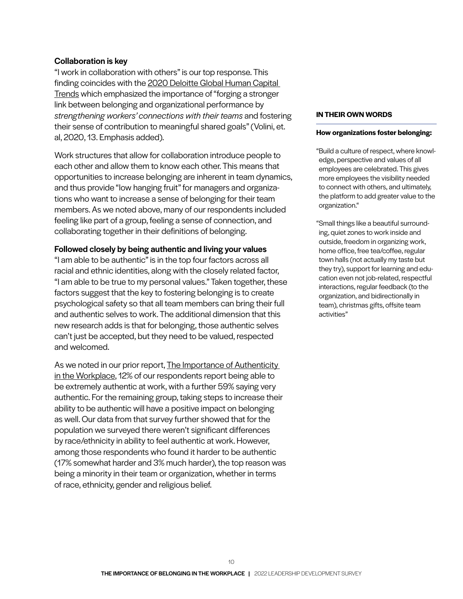#### Collaboration is key

"I work in collaboration with others" is our top response. This finding coincides with the 2020 Deloitte Global Human Capital Trends which emphasized the importance of "forging a stronger link between belonging and organizational performance by *strengthening workers' connections with their teams* and fostering their sense of contribution to meaningful shared goals" (Volini, et. al, 2020, 13. Emphasis added).

Work structures that allow for collaboration introduce people to each other and allow them to know each other. This means that opportunities to increase belonging are inherent in team dynamics, and thus provide "low hanging fruit" for managers and organizations who want to increase a sense of belonging for their team members. As we noted above, many of our respondents included feeling like part of a group, feeling a sense of connection, and collaborating together in their definitions of belonging.

#### Followed closely by being authentic and living your values

"I am able to be authentic" is in the top four factors across all racial and ethnic identities, along with the closely related factor, "I am able to be true to my personal values." Taken together, these factors suggest that the key to fostering belonging is to create psychological safety so that all team members can bring their full and authentic selves to work. The additional dimension that this new research adds is that for belonging, those authentic selves can't just be accepted, but they need to be valued, respected and welcomed.

As we noted in our prior report, The Importance of Authenticity in the Workplace, 12% of our respondents report being able to be extremely authentic at work, with a further 59% saying very authentic. For the remaining group, taking steps to increase their ability to be authentic will have a positive impact on belonging as well. Our data from that survey further showed that for the population we surveyed there weren't significant differences by race/ethnicity in ability to feel authentic at work. However, among those respondents who found it harder to be authentic (17% somewhat harder and 3% much harder), the top reason was being a minority in their team or organization, whether in terms of race, ethnicity, gender and religious belief.

#### **IN THEIR OWN WORDS**

#### **How organizations foster belonging:**

"Build a culture of respect, where knowledge, perspective and values of all employees are celebrated. This gives more employees the visibility needed to connect with others, and ultimately, the platform to add greater value to the organization."

"Small things like a beautiful surrounding, quiet zones to work inside and outside, freedom in organizing work, home office, free tea/coffee, regular town halls (not actually my taste but they try), support for learning and education even not job-related, respectful interactions, regular feedback (to the organization, and bidirectionally in team), christmas gifts, offsite team activities"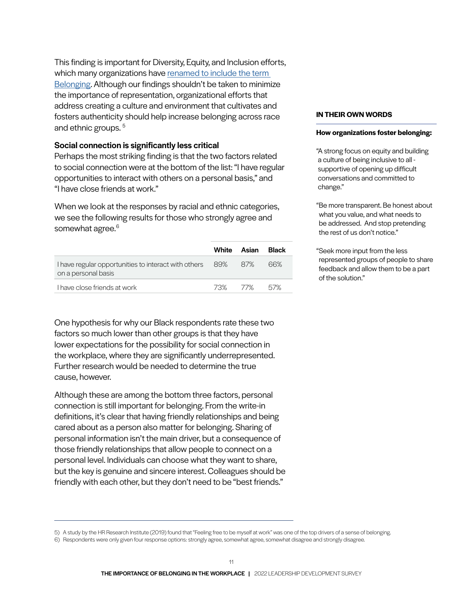This finding is important for Diversity, Equity, and Inclusion efforts, which many organizations have [renamed to include the term](https://www.inclusiveleadership.com/research-insights/what-is-the-b-in-deib/)  [Belonging.](https://www.inclusiveleadership.com/research-insights/what-is-the-b-in-deib/) Although our findings shouldn't be taken to minimize the importance of representation, organizational efforts that address creating a culture and environment that cultivates and fosters authenticity should help increase belonging across race and ethnic groups.<sup>5</sup>

#### Social connection is significantly less critical

Perhaps the most striking finding is that the two factors related to social connection were at the bottom of the list: "I have regular opportunities to interact with others on a personal basis," and "I have close friends at work."

When we look at the responses by racial and ethnic categories, we see the following results for those who strongly agree and somewhat agree.<sup>6</sup>

|                                                                                     | White   | Asian | Black |
|-------------------------------------------------------------------------------------|---------|-------|-------|
| I have regular opportunities to interact with others 89% 87%<br>on a personal basis |         |       | 66%   |
| I have close friends at work                                                        | 73% 77% |       | .57%  |

One hypothesis for why our Black respondents rate these two factors so much lower than other groups is that they have lower expectations for the possibility for social connection in the workplace, where they are significantly underrepresented. Further research would be needed to determine the true cause, however.

Although these are among the bottom three factors, personal connection is still important for belonging. From the write-in definitions, it's clear that having friendly relationships and being cared about as a person also matter for belonging. Sharing of personal information isn't the main driver, but a consequence of those friendly relationships that allow people to connect on a personal level. Individuals can choose what they want to share, but the key is genuine and sincere interest. Colleagues should be friendly with each other, but they don't need to be "best friends."

#### **IN THEIR OWN WORDS**

#### **How organizations foster belonging:**

"A strong focus on equity and building a culture of being inclusive to all supportive of opening up difficult conversations and committed to change."

"Be more transparent. Be honest about what you value, and what needs to be addressed. And stop pretending the rest of us don't notice."

"Seek more input from the less represented groups of people to share feedback and allow them to be a part of the solution."

<sup>5)</sup> A study by the HR Research Institute (2019) found that "Feeling free to be myself at work" was one of the top drivers of a sense of belonging. 6) Respondents were only given four response options: strongly agree, somewhat agree, somewhat disagree and strongly disagree.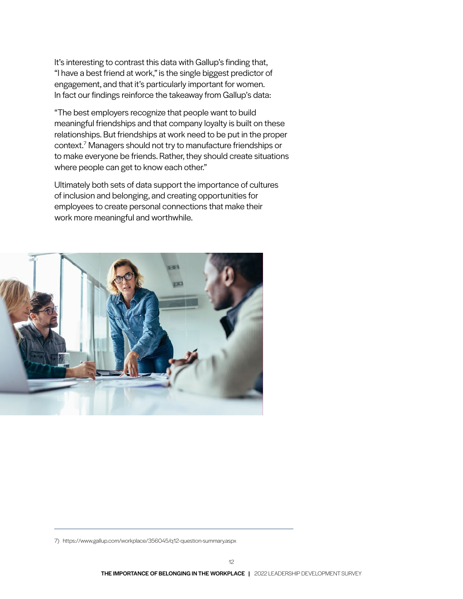It's interesting to contrast this data with Gallup's finding that, "I have a best friend at work," is the single biggest predictor of engagement, and that it's particularly important for women. In fact our findings reinforce the takeaway from Gallup's data:

"The best employers recognize that people want to build meaningful friendships and that company loyalty is built on these relationships. But friendships at work need to be put in the proper context.7 Managers should not try to manufacture friendships or to make everyone be friends. Rather, they should create situations where people can get to know each other."

Ultimately both sets of data support the importance of cultures of inclusion and belonging, and creating opportunities for employees to create personal connections that make their work more meaningful and worthwhile.



7) https://www.gallup.com/workplace/356045/q12-question-summary.aspx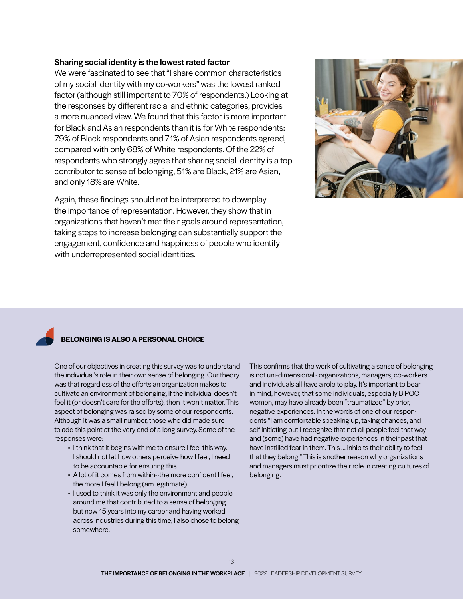#### Sharing social identity is the lowest rated factor

We were fascinated to see that "I share common characteristics of my social identity with my co-workers" was the lowest ranked factor (although still important to 70% of respondents.) Looking at the responses by different racial and ethnic categories, provides a more nuanced view. We found that this factor is more important for Black and Asian respondents than it is for White respondents: 79% of Black respondents and 71% of Asian respondents agreed, compared with only 68% of White respondents. Of the 22% of respondents who strongly agree that sharing social identity is a top contributor to sense of belonging, 51% are Black, 21% are Asian, and only 18% are White.

Again, these findings should not be interpreted to downplay the importance of representation. However, they show that in organizations that haven't met their goals around representation, taking steps to increase belonging can substantially support the engagement, confidence and happiness of people who identify with underrepresented social identities.



#### **BELONGING IS ALSO A PERSONAL CHOICE**

One of our objectives in creating this survey was to understand the individual's role in their own sense of belonging. Our theory was that regardless of the efforts an organization makes to cultivate an environment of belonging, if the individual doesn't feel it (or doesn't care for the efforts), then it won't matter. This aspect of belonging was raised by some of our respondents. Although it was a small number, those who did made sure to add this point at the very end of a long survey. Some of the responses were:

- I think that it begins with me to ensure I feel this way. I should not let how others perceive how I feel, I need to be accountable for ensuring this.
- A lot of it comes from within--the more confident I feel, the more I feel I belong (am legitimate).
- I used to think it was only the environment and people around me that contributed to a sense of belonging but now 15 years into my career and having worked across industries during this time, I also chose to belong somewhere.

This confirms that the work of cultivating a sense of belonging is not uni-dimensional - organizations, managers, co-workers and individuals all have a role to play. It's important to bear in mind, however, that some individuals, especially BIPOC women, may have already been "traumatized" by prior, negative experiences. In the words of one of our respondents "I am comfortable speaking up, taking chances, and self initiating but I recognize that not all people feel that way and (some) have had negative experiences in their past that have instilled fear in them. This … inhibits their ability to feel that they belong." This is another reason why organizations and managers must prioritize their role in creating cultures of belonging.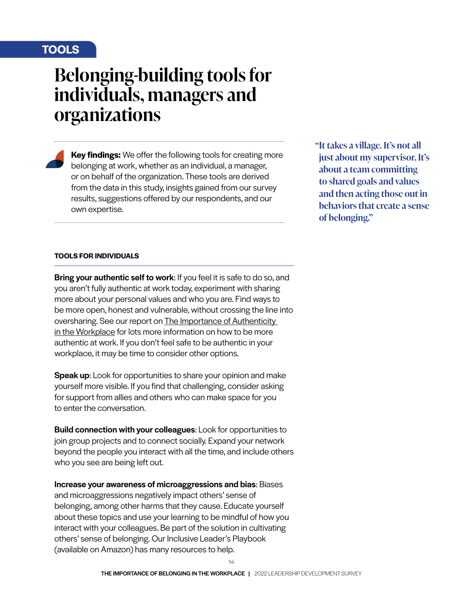# **TOOLS**

# **Belonging-building tools for individuals, managers and organizations**

**Key findings:** We offer the following tools for creating more belonging at work, whether as an individual, a manager, or on behalf of the organization. These tools are derived from the data in this study, insights gained from our survey results, suggestions offered by our respondents, and our own expertise.

**"It takes a village. It's not all just about my supervisor. It's about a team committing to shared goals and values and then acting those out in behaviors that create a sense of belonging."**

#### **TOOLS FOR INDIVIDUALS**

**Bring your authentic self to work:** If you feel it is safe to do so, and you aren't fully authentic at work today, experiment with sharing more about your personal values and who you are. Find ways to be more open, honest and vulnerable, without crossing the line into oversharing. See our report on The Importance of Authenticity in the Workplace for lots more information on how to be more authentic at work. If you don't feel safe to be authentic in your workplace, it may be time to consider other options.

**Speak up:** Look for opportunities to share your opinion and make yourself more visible. If you find that challenging, consider asking for support from allies and others who can make space for you to enter the conversation.

Build connection with your colleagues: Look for opportunities to join group projects and to connect socially. Expand your network beyond the people you interact with all the time, and include others who you see are being left out.

Increase your awareness of microaggressions and bias: Biases and microaggressions negatively impact others' sense of belonging, among other harms that they cause. Educate yourself about these topics and use your learning to be mindful of how you interact with your colleagues. Be part of the solution in cultivating others' sense of belonging. Our Inclusive Leader's Playbook (available on Amazon) has many resources to help.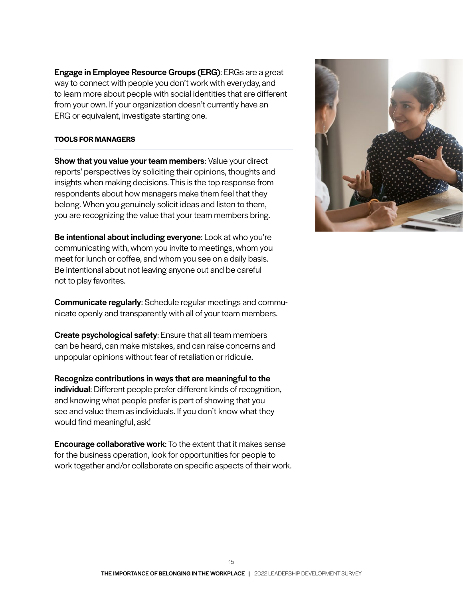Engage in Employee Resource Groups (ERG): ERGs are a great way to connect with people you don't work with everyday, and to learn more about people with social identities that are different from your own. If your organization doesn't currently have an ERG or equivalent, investigate starting one.

#### **TOOLS FOR MANAGERS**

Show that you value your team members: Value your direct reports' perspectives by soliciting their opinions, thoughts and insights when making decisions. This is the top response from respondents about how managers make them feel that they belong. When you genuinely solicit ideas and listen to them, you are recognizing the value that your team members bring.

Be intentional about including everyone: Look at who you're communicating with, whom you invite to meetings, whom you meet for lunch or coffee, and whom you see on a daily basis. Be intentional about not leaving anyone out and be careful not to play favorites.

Communicate regularly: Schedule regular meetings and communicate openly and transparently with all of your team members.

Create psychological safety: Ensure that all team members can be heard, can make mistakes, and can raise concerns and unpopular opinions without fear of retaliation or ridicule.

Recognize contributions in ways that are meaningful to the individual: Different people prefer different kinds of recognition, and knowing what people prefer is part of showing that you see and value them as individuals. If you don't know what they would find meaningful, ask!

**Encourage collaborative work:** To the extent that it makes sense for the business operation, look for opportunities for people to work together and/or collaborate on specific aspects of their work.

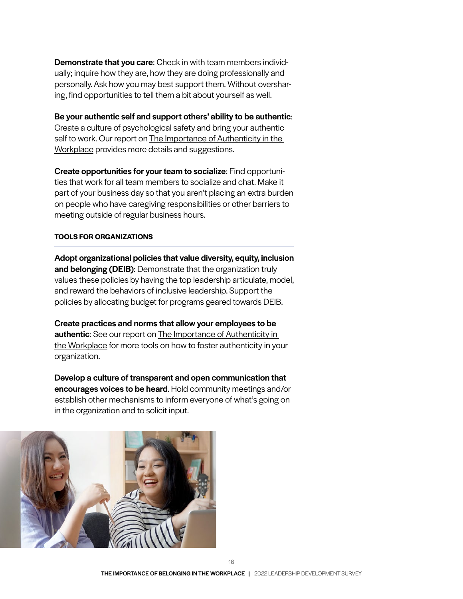Demonstrate that you care: Check in with team members individually; inquire how they are, how they are doing professionally and personally. Ask how you may best support them. Without oversharing, find opportunities to tell them a bit about yourself as well.

Be your authentic self and support others' ability to be authentic: Create a culture of psychological safety and bring your authentic self to work. Our report on The Importance of Authenticity in the Workplace provides more details and suggestions.

Create opportunities for your team to socialize: Find opportunities that work for all team members to socialize and chat. Make it part of your business day so that you aren't placing an extra burden on people who have caregiving responsibilities or other barriers to meeting outside of regular business hours.

#### **TOOLS FOR ORGANIZATIONS**

Adopt organizational policies that value diversity, equity, inclusion and belonging (DEIB): Demonstrate that the organization truly values these policies by having the top leadership articulate, model, and reward the behaviors of inclusive leadership. Support the policies by allocating budget for programs geared towards DEIB.

Create practices and norms that allow your employees to be **authentic:** See our report on The Importance of Authenticity in the Workplace for more tools on how to foster authenticity in your organization.

Develop a culture of transparent and open communication that encourages voices to be heard. Hold community meetings and/or establish other mechanisms to inform everyone of what's going on in the organization and to solicit input.

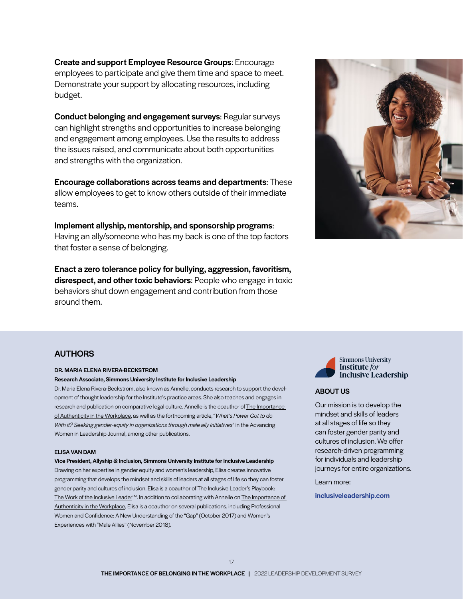Create and support Employee Resource Groups: Encourage employees to participate and give them time and space to meet. Demonstrate your support by allocating resources, including budget.

Conduct belonging and engagement surveys: Regular surveys can highlight strengths and opportunities to increase belonging and engagement among employees. Use the results to address the issues raised, and communicate about both opportunities and strengths with the organization.

Encourage collaborations across teams and departments: These allow employees to get to know others outside of their immediate teams.

Implement allyship, mentorship, and sponsorship programs: Having an ally/someone who has my back is one of the top factors that foster a sense of belonging.

Enact a zero tolerance policy for bullying, aggression, favoritism, disrespect, and other toxic behaviors: People who engage in toxic behaviors shut down engagement and contribution from those around them.



#### AUTHORS

#### DR. MARIA ELENA RIVERA-BECKSTROM

#### Research Associate, Simmons University Institute for Inclusive Leadership

Dr. Maria Elena Rivera-Beckstrom, also known as Annelle, conducts research to support the development of thought leadership for the Institute's practice areas. She also teaches and engages in research and publication on comparative legal culture. Annelle is the coauthor of The Importance of Authenticity in the Workplace, as well as the forthcoming article, "*What's Power Got to do With it? Seeking gender-equity in organizations through male ally initiatives*" in the Advancing Women in Leadership Journal, among other publications.

#### ELISA VAN DAM

#### Vice President, Allyship & Inclusion, Simmons University Institute for Inclusive Leadership Drawing on her expertise in gender equity and women's leadership, Elisa creates innovative programming that develops the mindset and skills of leaders at all stages of life so they can foster gender parity and cultures of inclusion. Elisa is a coauthor of The Inclusive Leader's Playbook: The Work of the Inclusive Leader<sup>™.</sup> In addition to collaborating with Annelle on The Importance of Authenticity in the Workplace, Elisa is a coauthor on several publications, including Professional Women and Confidence: A New Understanding of the "Gap" (October 2017) and Women's Experiences with "Male Allies" (November 2018).



#### ABOUT US

Our mission is to develop the mindset and skills of leaders at all stages of life so they can foster gender parity and cultures of inclusion. We offer research-driven programming for individuals and leadership journeys for entire organizations.

Learn more:

inclusiveleadership.com